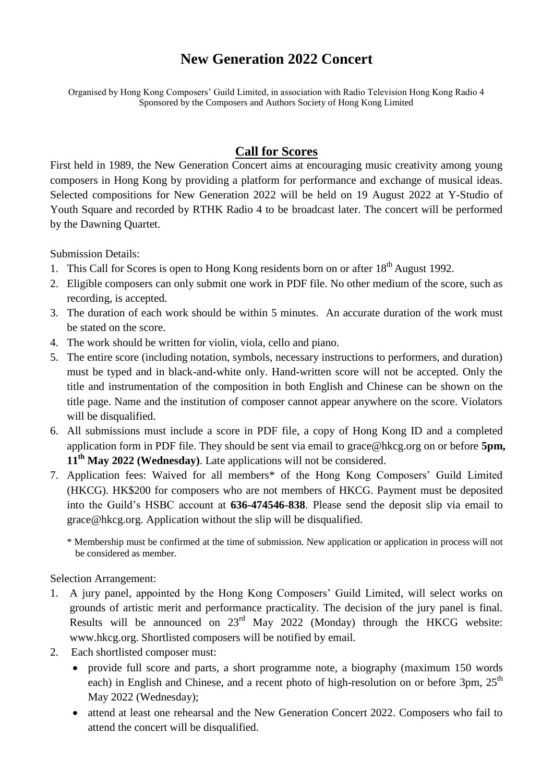## **New Generation 2022 Concert**

Organised by Hong Kong Composers' Guild Limited, in association with Radio Television Hong Kong Radio 4 Sponsored by the Composers and Authors Society of Hong Kong Limited

## **Call for Scores**

First held in 1989, the New Generation Concert aims at encouraging music creativity among young composers in Hong Kong by providing a platform for performance and exchange of musical ideas. Selected compositions for New Generation 2022 will be held on 19 August 2022 at Y-Studio of Youth Square and recorded by RTHK Radio 4 to be broadcast later. The concert will be performed by the Dawning Quartet.

Submission Details:

- 1. This Call for Scores is open to Hong Kong residents born on or after  $18<sup>th</sup>$  August 1992.
- 2. Eligible composers can only submit one work in PDF file. No other medium of the score, such as recording, is accepted.
- 3. The duration of each work should be within 5 minutes. An accurate duration of the work must be stated on the score.
- 4. The work should be written for violin, viola, cello and piano.
- 5. The entire score (including notation, symbols, necessary instructions to performers, and duration) must be typed and in black-and-white only. Hand-written score will not be accepted. Only the title and instrumentation of the composition in both English and Chinese can be shown on the title page. Name and the institution of composer cannot appear anywhere on the score. Violators will be disqualified.
- 6. All submissions must include a score in PDF file, a copy of Hong Kong ID and a completed application form in PDF file. They should be sent via email to grace@hkcg.org on or before **5pm, 11th May 2022 (Wednesday)**. Late applications will not be considered.
- 7. Application fees: Waived for all members\* of the Hong Kong Composers' Guild Limited (HKCG). HK\$200 for composers who are not members of HKCG. Payment must be deposited into the Guild's HSBC account at **636-474546-838**. Please send the deposit slip via email to grace@hkcg.org. Application without the slip will be disqualified.
	- \* Membership must be confirmed at the time of submission. New application or application in process will not be considered as member.

Selection Arrangement:

- 1. A jury panel, appointed by the Hong Kong Composers' Guild Limited, will select works on grounds of artistic merit and performance practicality. The decision of the jury panel is final. Results will be announced on  $23<sup>rd</sup>$  May 2022 (Monday) through the HKCG website: www.hkcg.org. Shortlisted composers will be notified by email.
- 2. Each shortlisted composer must:
	- provide full score and parts, a short programme note, a biography (maximum 150 words each) in English and Chinese, and a recent photo of high-resolution on or before 3pm, 25<sup>th</sup> May 2022 (Wednesday);
	- attend at least one rehearsal and the New Generation Concert 2022. Composers who fail to attend the concert will be disqualified.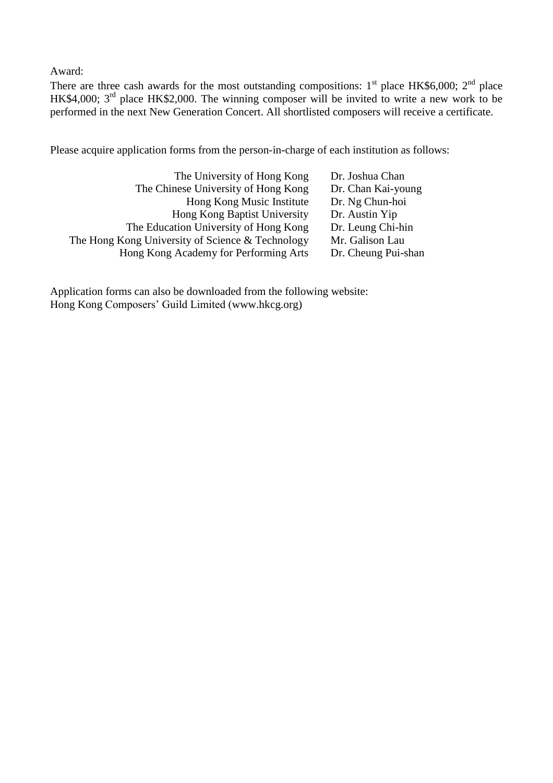Award:

There are three cash awards for the most outstanding compositions:  $1<sup>st</sup>$  place HK\$6,000;  $2<sup>nd</sup>$  place HK\$4,000; 3<sup>rd</sup> place HK\$2,000. The winning composer will be invited to write a new work to be performed in the next New Generation Concert. All shortlisted composers will receive a certificate.

Please acquire application forms from the person-in-charge of each institution as follows:

| The University of Hong Kong                      | Dr. Joshua Chan     |
|--------------------------------------------------|---------------------|
| The Chinese University of Hong Kong              | Dr. Chan Kai-young  |
| Hong Kong Music Institute                        | Dr. Ng Chun-hoi     |
| Hong Kong Baptist University                     | Dr. Austin Yip      |
| The Education University of Hong Kong            | Dr. Leung Chi-hin   |
| The Hong Kong University of Science & Technology | Mr. Galison Lau     |
| Hong Kong Academy for Performing Arts            | Dr. Cheung Pui-shan |

Application forms can also be downloaded from the following website: Hong Kong Composers' Guild Limited (www.hkcg.org)